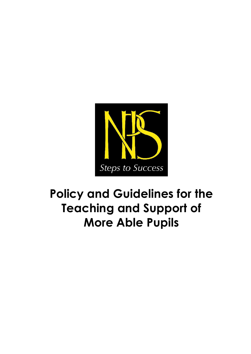

# **Policy and Guidelines for the Teaching and Support of More Able Pupils**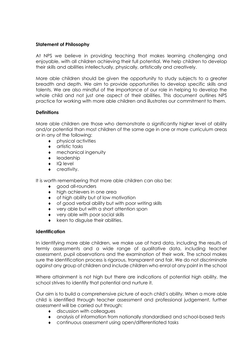#### **Statement of Philosophy**

At NPS we believe in providing teaching that makes learning challenging and enjoyable, with all children achieving their full potential. We help children to develop their skills and abilities intellectually, physically, artistically and creatively.

More able children should be given the opportunity to study subjects to a greater breadth and depth. We aim to provide opportunities to develop specific skills and talents. We are also mindful of the importance of our role in helping to develop the whole child and not just one aspect of their abilities. This document outlines NPS practice for working with more able children and illustrates our commitment to them.

#### **Definitions**

More able children are those who demonstrate a significantly higher level of ability and/or potential than most children of the same age in one or more curriculum areas or in any of the following:

- physical activities
- $\bullet$  artistic tasks
- mechanical ingenuity
- leadership
- ◆ IQ level
- creativity.

It is worth remembering that more able children can also be:

- good all-rounders
- $\bullet$  high achievers in one area
- of high ability but of low motivation
- of good verbal ability but with poor writing skills
- very able but with a short attention span
- very able with poor social skills
- keen to disguise their abilities.

#### **Identification**

In identifying more able children, we make use of hard data, including the results of termly assessments and a wide range of qualitative data, including teacher assessment, pupil observations and the examination of their work. The school makes sure the identification process is rigorous, transparent and fair. We do not discriminate against any group of children and include children who enrol at any point in the school

Where attainment is not high but there are indications of potential high ability, the school strives to identify that potential and nurture it.

Our aim is to build a comprehensive picture of each child's ability. When a more able child is identified through teacher assessment and professional judgement, further assessment will be carried out through:

- $\bullet$  discussion with colleagues
- analysis of information from nationally standardised and school-based tests
- continuous assessment using open/differentiated tasks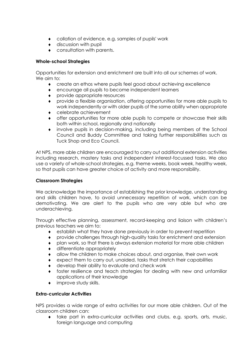- collation of evidence, e.g. samples of pupils' work
- discussion with pupil
- consultation with parents.

## **Whole-school Strategies**

Opportunities for extension and enrichment are built into all our schemes of work. We aim to:

- create an ethos where pupils feel good about achieving excellence
- encourage all pupils to become independent learners
- provide appropriate resources
- provide a flexible organisation, offering opportunities for more able pupils to work independently or with older pupils of the same ability when appropriate
- celebrate achievement
- offer opportunities for more able pupils to compete or showcase their skills both within school, regionally and nationally
- involve pupils in decision-making, including being members of the School Council and Buddy Committee and taking further responsibilities such as Tuck Shop and Eco Council.

At NPS, more able children are encouraged to carry out additional extension activities including research, mastery tasks and independent interest-focussed tasks. We also use a variety of whole-school strategies, e.g. theme weeks, book week, healthy week, so that pupils can have greater choice of activity and more responsibility.

## **Classroom Strategies**

We acknowledge the importance of establishing the prior knowledge, understanding and skills children have, to avoid unnecessary repetition of work, which can be demotivating. We are alert to the pupils who are very able but who are underachieving.

Through effective planning, assessment, record-keeping and liaison with children's previous teachers we aim to:

- establish what they have done previously in order to prevent repetition
- provide challenges through high-quality tasks for enrichment and extension
- plan work, so that there is always extension material for more able children
- differentiate appropriately
- allow the children to make choices about, and organise, their own work
- expect them to carry out, unaided, tasks that stretch their capabilities
- develop their ability to evaluate and check work
- foster resilience and teach strategies for dealing with new and unfamiliar applications of their knowledge
- improve study skills.

## **Extra-curricular Activities**

NPS provides a wide range of extra activities for our more able children. Out of the classroom children can:

 take part in extra-curricular activities and clubs, e.g. sports, arts, music, foreign language and computing